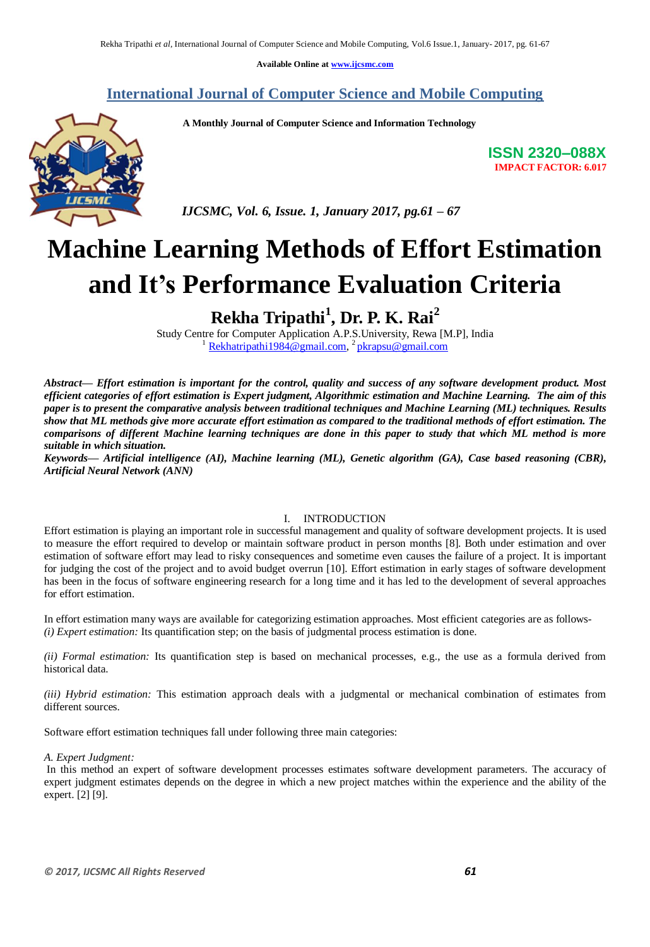**Available Online at [www.ijcsmc.com](http://www.ijcsmc.com/)**

### **International Journal of Computer Science and Mobile Computing**

 **A Monthly Journal of Computer Science and Information Technology**



 *IJCSMC, Vol. 6, Issue. 1, January 2017, pg.61 – 67*

# **Machine Learning Methods of Effort Estimation and It's Performance Evaluation Criteria**

# **Rekha Tripathi<sup>1</sup> , Dr. P. K. Rai<sup>2</sup>**

Study Centre for Computer Application A.P.S.University, Rewa [M.P], India <sup>1</sup> [Rekhatripathi1984@gmail.com,](mailto:Rekhatripathi1984@gmail.com) <sup>2</sup> [pkrapsu@gmail.com](mailto:pkrapsu@gmail.com)

*Abstract— Effort estimation is important for the control, quality and success of any software development product. Most efficient categories of effort estimation is Expert judgment, Algorithmic estimation and Machine Learning. The aim of this paper is to present the comparative analysis between traditional techniques and Machine Learning (ML) techniques. Results show that ML methods give more accurate effort estimation as compared to the traditional methods of effort estimation. The comparisons of different Machine learning techniques are done in this paper to study that which ML method is more suitable in which situation.*

*Keywords— Artificial intelligence (AI), Machine learning (ML), Genetic algorithm (GA), Case based reasoning (CBR), Artificial Neural Network (ANN)*

#### I. INTRODUCTION

Effort estimation is playing an important role in successful management and quality of software development projects. It is used to measure the effort required to develop or maintain software product in person months [8]. Both under estimation and over estimation of software effort may lead to risky consequences and sometime even causes the failure of a project. It is important for judging the cost of the project and to avoid budget overrun [10]. Effort estimation in early stages of software development has been in the focus of software engineering research for a long time and it has led to the development of several approaches for effort estimation.

In effort estimation many ways are available for categorizing estimation approaches. Most efficient categories are as follows- *(i) Expert estimation:* Its quantification step; on the basis of judgmental process estimation is done.

*(ii) Formal estimation:* Its quantification step is based on mechanical processes, e.g., the use as a formula derived from historical data.

*(iii) Hybrid estimation:* This estimation approach deals with a judgmental or mechanical combination of estimates from different sources.

Software effort estimation techniques fall under following three main categories:

*A. Expert Judgment:*

In this method an expert of software development processes estimates software development parameters. The accuracy of expert judgment estimates depends on the degree in which a new project matches within the experience and the ability of the expert. [2] [9].

**ISSN 2320–088X IMPACT FACTOR: 6.017**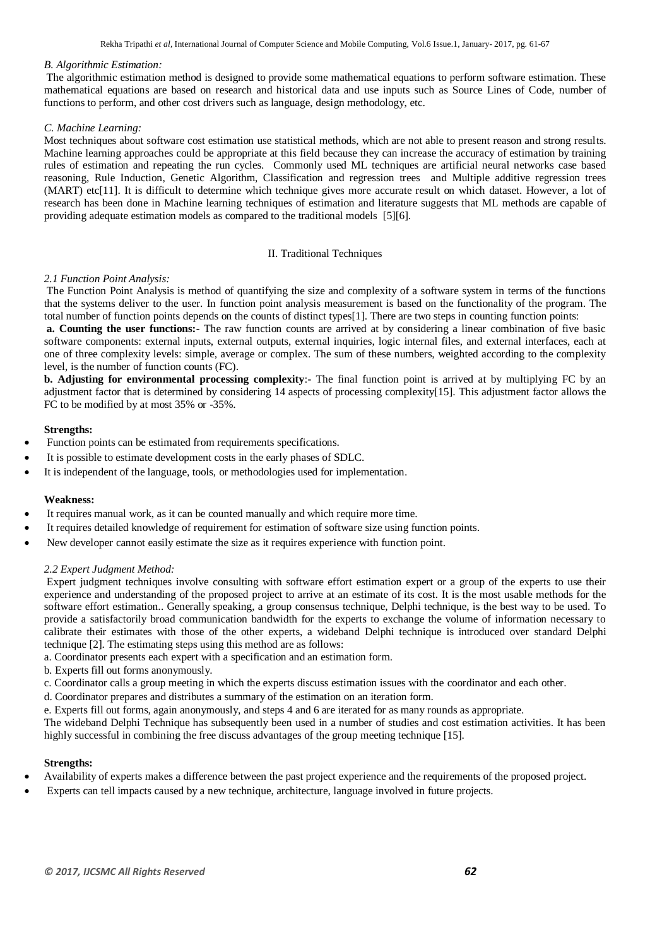#### *B. Algorithmic Estimation:*

The algorithmic estimation method is designed to provide some mathematical equations to perform software estimation. These mathematical equations are based on research and historical data and use inputs such as Source Lines of Code, number of functions to perform, and other cost drivers such as language, design methodology, etc.

#### *C. Machine Learning:*

Most techniques about software cost estimation use statistical methods, which are not able to present reason and strong results. Machine learning approaches could be appropriate at this field because they can increase the accuracy of estimation by training rules of estimation and repeating the run cycles. Commonly used ML techniques are artificial neural networks case based reasoning, Rule Induction, Genetic Algorithm, Classification and regression trees and Multiple additive regression trees (MART) etc[11]. It is difficult to determine which technique gives more accurate result on which dataset. However, a lot of research has been done in Machine learning techniques of estimation and literature suggests that ML methods are capable of providing adequate estimation models as compared to the traditional models [5][6].

#### II. Traditional Techniques

#### *2.1 Function Point Analysis:*

The Function Point Analysis is method of quantifying the size and complexity of a software system in terms of the functions that the systems deliver to the user. In function point analysis measurement is based on the functionality of the program. The total number of function points depends on the counts of distinct types[1]. There are two steps in counting function points:

**a. Counting the user functions:-** The raw function counts are arrived at by considering a linear combination of five basic software components: external inputs, external outputs, external inquiries, logic internal files, and external interfaces, each at one of three complexity levels: simple, average or complex. The sum of these numbers, weighted according to the complexity level, is the number of function counts (FC).

**b. Adjusting for environmental processing complexity**:- The final function point is arrived at by multiplying FC by an adjustment factor that is determined by considering 14 aspects of processing complexity[15]. This adjustment factor allows the FC to be modified by at most 35% or -35%.

#### **Strengths:**

- Function points can be estimated from requirements specifications.
- It is possible to estimate development costs in the early phases of SDLC.
- It is independent of the language, tools, or methodologies used for implementation.

#### **Weakness:**

- It requires manual work, as it can be counted manually and which require more time.
- It requires detailed knowledge of requirement for estimation of software size using function points.
- New developer cannot easily estimate the size as it requires experience with function point.

#### *2.2 Expert Judgment Method:*

Expert judgment techniques involve consulting with software effort estimation expert or a group of the experts to use their experience and understanding of the proposed project to arrive at an estimate of its cost. It is the most usable methods for the software effort estimation.. Generally speaking, a group consensus technique, Delphi technique, is the best way to be used. To provide a satisfactorily broad communication bandwidth for the experts to exchange the volume of information necessary to calibrate their estimates with those of the other experts, a wideband Delphi technique is introduced over standard Delphi technique [2]. The estimating steps using this method are as follows:

- a. Coordinator presents each expert with a specification and an estimation form.
- b. Experts fill out forms anonymously.
- c. Coordinator calls a group meeting in which the experts discuss estimation issues with the coordinator and each other.
- d. Coordinator prepares and distributes a summary of the estimation on an iteration form.

e. Experts fill out forms, again anonymously, and steps 4 and 6 are iterated for as many rounds as appropriate.

The wideband Delphi Technique has subsequently been used in a number of studies and cost estimation activities. It has been highly successful in combining the free discuss advantages of the group meeting technique [15].

#### **Strengths:**

- Availability of experts makes a difference between the past project experience and the requirements of the proposed project.
- Experts can tell impacts caused by a new technique, architecture, language involved in future projects.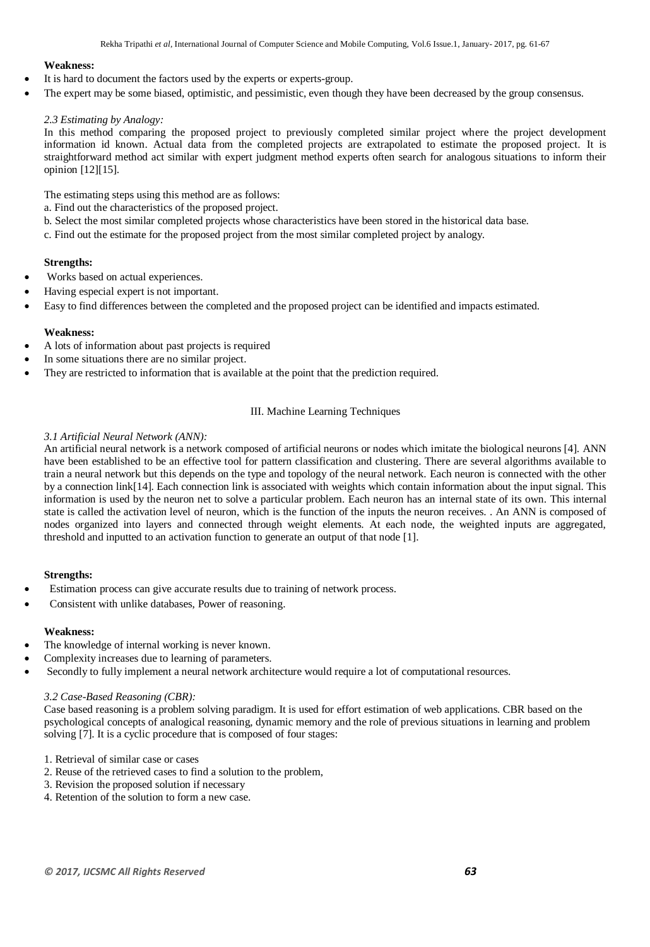#### **Weakness:**

- It is hard to document the factors used by the experts or experts-group.
- The expert may be some biased, optimistic, and pessimistic, even though they have been decreased by the group consensus.

#### *2.3 Estimating by Analogy:*

In this method comparing the proposed project to previously completed similar project where the project development information id known. Actual data from the completed projects are extrapolated to estimate the proposed project. It is straightforward method act similar with expert judgment method experts often search for analogous situations to inform their opinion [12][15].

The estimating steps using this method are as follows:

- a. Find out the characteristics of the proposed project.
- b. Select the most similar completed projects whose characteristics have been stored in the historical data base.
- c. Find out the estimate for the proposed project from the most similar completed project by analogy.

#### **Strengths:**

- Works based on actual experiences.
- Having especial expert is not important.
- Easy to find differences between the completed and the proposed project can be identified and impacts estimated.

#### **Weakness:**

- A lots of information about past projects is required
- In some situations there are no similar project.
- They are restricted to information that is available at the point that the prediction required.

#### III. Machine Learning Techniques

#### *3.1 Artificial Neural Network (ANN):*

An artificial neural network is a network composed of artificial neurons or nodes which imitate the biological neurons [4]. ANN have been established to be an effective tool for pattern classification and clustering. There are several algorithms available to train a neural network but this depends on the type and topology of the neural network. Each neuron is connected with the other by a connection link[14]. Each connection link is associated with weights which contain information about the input signal. This information is used by the neuron net to solve a particular problem. Each neuron has an internal state of its own. This internal state is called the activation level of neuron, which is the function of the inputs the neuron receives. . An ANN is composed of nodes organized into layers and connected through weight elements. At each node, the weighted inputs are aggregated, threshold and inputted to an activation function to generate an output of that node [1].

#### **Strengths:**

- Estimation process can give accurate results due to training of network process.
- Consistent with unlike databases, Power of reasoning.

#### **Weakness:**

- The knowledge of internal working is never known.
- Complexity increases due to learning of parameters.
- Secondly to fully implement a neural network architecture would require a lot of computational resources.

#### *3.2 Case-Based Reasoning (CBR):*

Case based reasoning is a problem solving paradigm. It is used for effort estimation of web applications. CBR based on the psychological concepts of analogical reasoning, dynamic memory and the role of previous situations in learning and problem solving [7]. It is a cyclic procedure that is composed of four stages:

- 1. Retrieval of similar case or cases
- 2. Reuse of the retrieved cases to find a solution to the problem,
- 3. Revision the proposed solution if necessary
- 4. Retention of the solution to form a new case.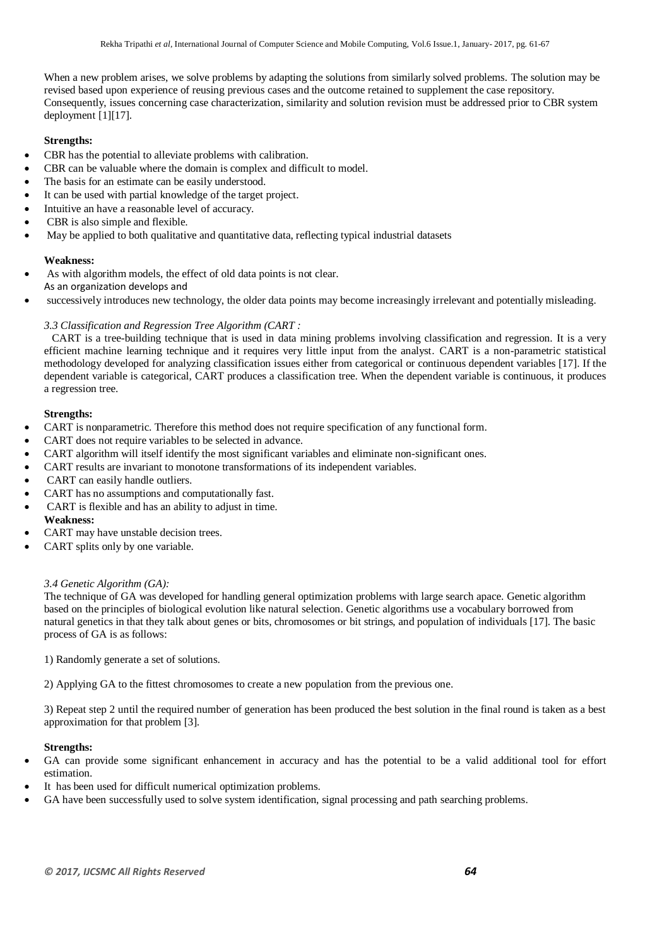When a new problem arises, we solve problems by adapting the solutions from similarly solved problems. The solution may be revised based upon experience of reusing previous cases and the outcome retained to supplement the case repository. Consequently, issues concerning case characterization, similarity and solution revision must be addressed prior to CBR system deployment [1][17].

#### **Strengths:**

- CBR has the potential to alleviate problems with calibration.
- CBR can be valuable where the domain is complex and difficult to model.
- The basis for an estimate can be easily understood.
- It can be used with partial knowledge of the target project.
- Intuitive an have a reasonable level of accuracy.
- CBR is also simple and flexible.
- May be applied to both qualitative and quantitative data, reflecting typical industrial datasets

#### **Weakness:**

- As with algorithm models, the effect of old data points is not clear.
- As an organization develops and
- successively introduces new technology, the older data points may become increasingly irrelevant and potentially misleading.

#### *3.3 Classification and Regression Tree Algorithm (CART :*

CART is a tree-building technique that is used in data mining problems involving classification and regression. It is a very efficient machine learning technique and it requires very little input from the analyst. CART is a non-parametric statistical methodology developed for analyzing classification issues either from categorical or continuous dependent variables [17]. If the dependent variable is categorical, CART produces a classification tree. When the dependent variable is continuous, it produces a regression tree.

#### **Strengths:**

- CART is nonparametric. Therefore this method does not require specification of any functional form.
- CART does not require variables to be selected in advance.
- CART algorithm will itself identify the most significant variables and eliminate non-significant ones.
- CART results are invariant to monotone transformations of its independent variables.
- CART can easily handle outliers.
- CART has no assumptions and computationally fast.
- CART is flexible and has an ability to adjust in time.
- **Weakness:**
- CART may have unstable decision trees.
- CART splits only by one variable.

#### *3.4 Genetic Algorithm (GA):*

The technique of GA was developed for handling general optimization problems with large search apace. Genetic algorithm based on the principles of biological evolution like natural selection. Genetic algorithms use a vocabulary borrowed from natural genetics in that they talk about genes or bits, chromosomes or bit strings, and population of individuals [17]. The basic process of GA is as follows:

1) Randomly generate a set of solutions.

2) Applying GA to the fittest chromosomes to create a new population from the previous one.

3) Repeat step 2 until the required number of generation has been produced the best solution in the final round is taken as a best approximation for that problem [3].

#### **Strengths:**

- GA can provide some significant enhancement in accuracy and has the potential to be a valid additional tool for effort estimation.
- It has been used for difficult numerical optimization problems.
- GA have been successfully used to solve system identification, signal processing and path searching problems.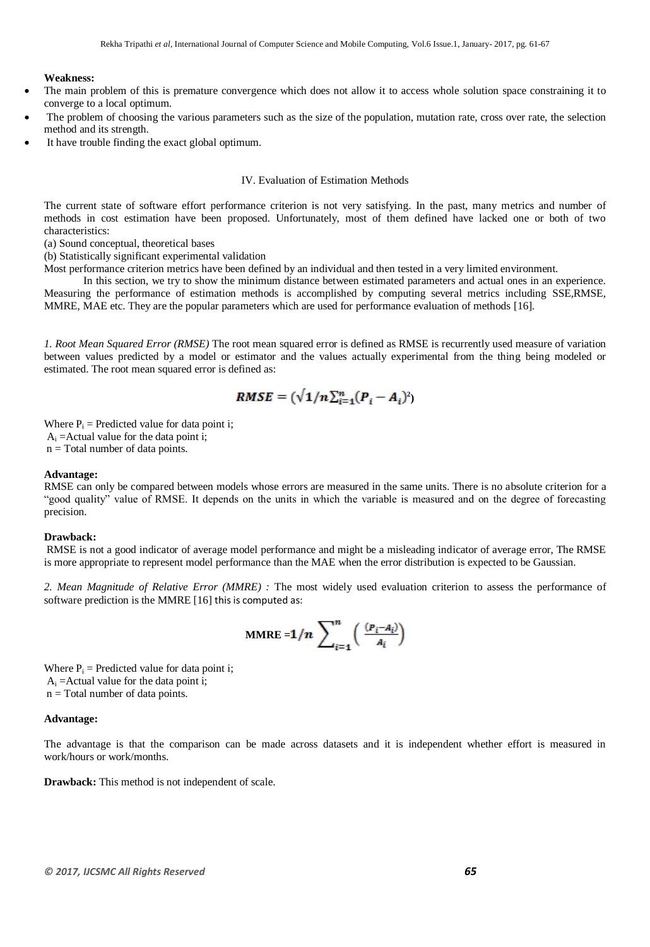#### **Weakness:**

- The main problem of this is premature convergence which does not allow it to access whole solution space constraining it to converge to a local optimum.
- The problem of choosing the various parameters such as the size of the population, mutation rate, cross over rate, the selection method and its strength.
- It have trouble finding the exact global optimum.

#### IV. Evaluation of Estimation Methods

The current state of software effort performance criterion is not very satisfying. In the past, many metrics and number of methods in cost estimation have been proposed. Unfortunately, most of them defined have lacked one or both of two characteristics:

(a) Sound conceptual, theoretical bases

(b) Statistically significant experimental validation

Most performance criterion metrics have been defined by an individual and then tested in a very limited environment.

In this section, we try to show the minimum distance between estimated parameters and actual ones in an experience. Measuring the performance of estimation methods is accomplished by computing several metrics including SSE,RMSE, MMRE, MAE etc. They are the popular parameters which are used for performance evaluation of methods [16].

*1. Root Mean Squared Error (RMSE)* The root mean squared error is defined as RMSE is recurrently used measure of variation between values predicted by a model or estimator and the values actually experimental from the thing being modeled or estimated. The root mean squared error is defined as:

$$
RMSE = (\sqrt{1/n}\sum_{i=1}^{n}(P_i - A_i)^2)
$$

Where  $P_i$  = Predicted value for data point i;  $A_i$  =Actual value for the data point i; n = Total number of data points.

#### **Advantage:**

RMSE can only be compared between models whose errors are measured in the same units. There is no absolute criterion for a "good quality" value of RMSE. It depends on the units in which the variable is measured and on the degree of forecasting precision.

#### **Drawback:**

RMSE is not a good indicator of average model performance and might be a misleading indicator of average error, The RMSE is more appropriate to represent model performance than the MAE when the error distribution is expected to be Gaussian.

*2. Mean Magnitude of Relative Error (MMRE) :* The most widely used evaluation criterion to assess the performance of software prediction is the MMRE [16] this is computed as:

$$
\text{MMRE} = 1/n \sum_{i=1}^{n} \left( \frac{(P_i - A_i)}{A_i} \right)
$$

Where  $P_i$  = Predicted value for data point i;  $A_i$  =Actual value for the data point i; n = Total number of data points.

#### **Advantage:**

The advantage is that the comparison can be made across datasets and it is independent whether effort is measured in work/hours or work/months.

**Drawback:** This method is not independent of scale.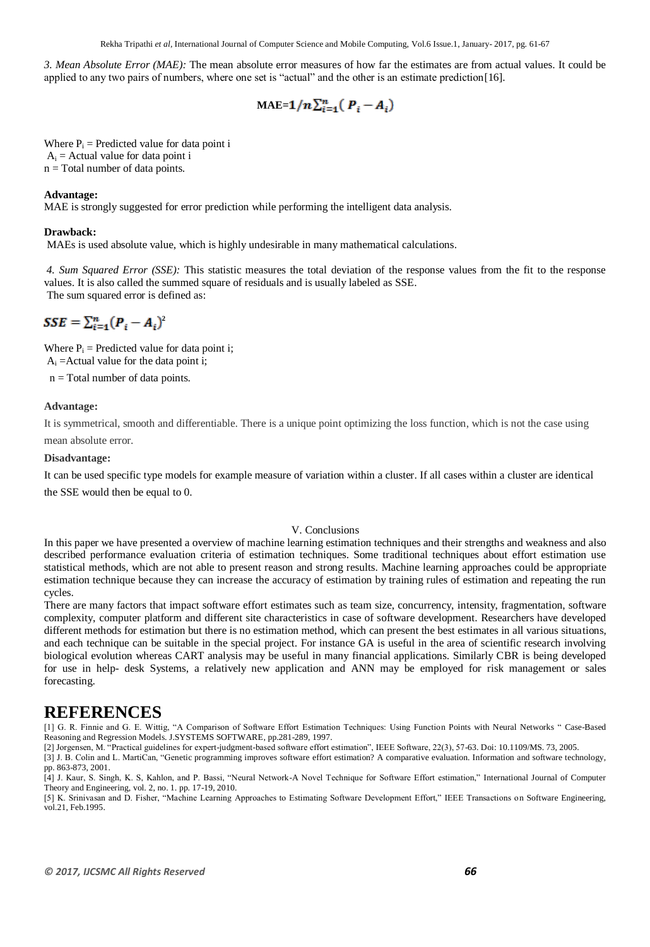*3. Mean Absolute Error (MAE):* The mean absolute error measures of how far the estimates are from actual values. It could be applied to any two pairs of numbers, where one set is "actual" and the other is an estimate prediction[16].

$$
\text{MAE=1}/n\sum_{i=1}^{n} (P_i - A_i)
$$

Where  $P_i$  = Predicted value for data point i  $A_i$  = Actual value for data point i n = Total number of data points.

#### **Advantage:**

MAE is strongly suggested for error prediction while performing the intelligent data analysis.

#### **Drawback:**

MAEs is used absolute value, which is highly undesirable in many mathematical calculations.

*4. Sum Squared Error (SSE):* This statistic measures the total deviation of the response values from the fit to the response values. It is also called the summed square of residuals and is usually labeled as SSE. The sum squared error is defined as:

# $SSE = \sum_{i=1}^{n} (P_i - A_i)^2$

Where  $P_i$  = Predicted value for data point i;  $A_i$  =Actual value for the data point i;

n = Total number of data points.

#### **Advantage:**

It is symmetrical, smooth and differentiable. There is a unique point optimizing the loss function, which is not the case using mean absolute error.

#### **Disadvantage:**

It can be used specific type models for example measure of variation within a cluster. If all cases within a cluster are identical the SSE would then be equal to 0.

#### V. Conclusions

In this paper we have presented a overview of machine learning estimation techniques and their strengths and weakness and also described performance evaluation criteria of estimation techniques. Some traditional techniques about effort estimation use statistical methods, which are not able to present reason and strong results. Machine learning approaches could be appropriate estimation technique because they can increase the accuracy of estimation by training rules of estimation and repeating the run cycles.

There are many factors that impact software effort estimates such as team size, concurrency, intensity, fragmentation, software complexity, computer platform and different site characteristics in case of software development. Researchers have developed different methods for estimation but there is no estimation method, which can present the best estimates in all various situations, and each technique can be suitable in the special project. For instance GA is useful in the area of scientific research involving biological evolution whereas CART analysis may be useful in many financial applications. Similarly CBR is being developed for use in help- desk Systems, a relatively new application and ANN may be employed for risk management or sales forecasting.

## **REFERENCES**

[1] G. R. Finnie and G. E. Wittig, "A Comparison of Software Effort Estimation Techniques: Using Function Points with Neural Networks " Case-Based Reasoning and Regression Models. J.SYSTEMS SOFTWARE, pp.281-289, 1997.

[2] Jorgensen, M. "Practical guidelines for expert-judgment-based software effort estimation", IEEE Software, 22(3), 57-63. Doi: 10.1109/MS. 73, 2005. [3] J. B. Colin and L. MartiCan, "Genetic programming improves software effort estimation? A comparative evaluation. Information and software technology, pp. 863-873, 2001.

[4] J. Kaur, S. Singh, K. S, Kahlon, and P. Bassi, "Neural Network-A Novel Technique for Software Effort estimation," International Journal of Computer Theory and Engineering, vol. 2, no. 1. pp. 17-19, 2010.

[5] K. Srinivasan and D. Fisher, "Machine Learning Approaches to Estimating Software Development Effort," IEEE Transactions on Software Engineering, vol.21, Feb.1995.